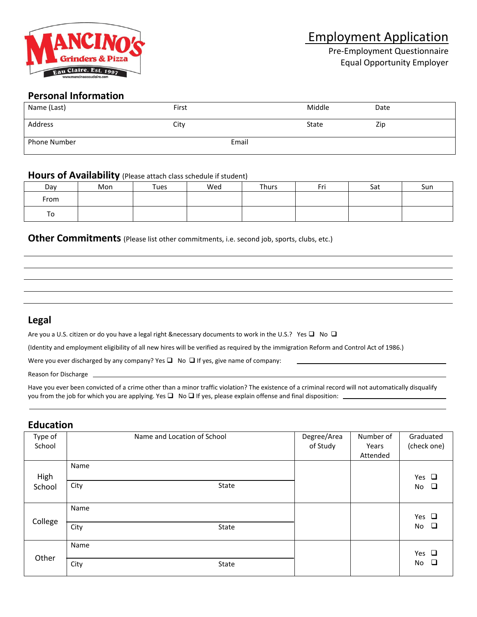

Pre-Employment Questionnaire Equal Opportunity Employer

# **Personal Information**

| Name (Last)  | First |       | Middle | Date |
|--------------|-------|-------|--------|------|
| Address      | City  |       | State  | Zip  |
| Phone Number |       | Email |        |      |

#### **Hours of Availability** (Please attach class schedule if student)

| Day  | Mon | Tues | Wed | Thurs | Fri | Sat | Sun |
|------|-----|------|-----|-------|-----|-----|-----|
| From |     |      |     |       |     |     |     |
| To   |     |      |     |       |     |     |     |

#### **Other Commitments** (Please list other commitments, i.e. second job, sports, clubs, etc.)

# **Legal**

Are you a U.S. citizen or do you have a legal right &necessary documents to work in the U.S.? Yes  $\Box$  No  $\Box$ 

(Identity and employment eligibility of all new hires will be verified as required by the immigration Reform and Control Act of 1986.)

Were you ever discharged by any company? Yes  $\Box$  No  $\Box$  If yes, give name of company:

Reason for Discharge

Have you ever been convicted of a crime other than a minor traffic violation? The existence of a criminal record will not automatically disqualify you from the job for which you are applying. Yes  $\Box$  No  $\Box$  If yes, please explain offense and final disposition:  $\Box$ 

#### **Education**

| Type of<br>School | Name and Location of School | Degree/Area<br>of Study | Number of<br>Years<br>Attended | Graduated<br>(check one)   |
|-------------------|-----------------------------|-------------------------|--------------------------------|----------------------------|
| High<br>School    | Name<br>City<br>State       |                         |                                | Yes $\Box$<br>$\Box$<br>No |
| College           | Name<br>City<br>State       |                         |                                | Yes $\Box$<br>$\Box$<br>No |
| Other             | Name<br>City<br>State       |                         |                                | Yes $\Box$<br>$\Box$<br>No |